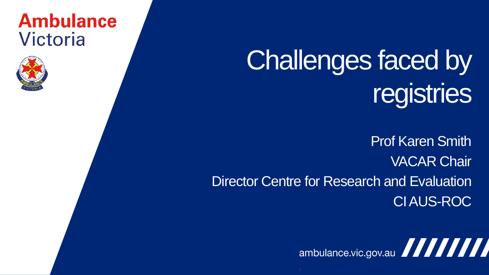### **Ambulance** Victoria



# Challenges faced by registries

Prof Karen Smith VACAR Chair Director Centre for Research and Evaluation CI AUS-ROC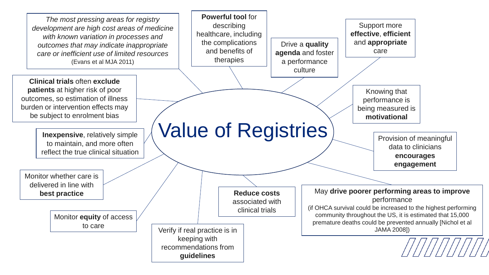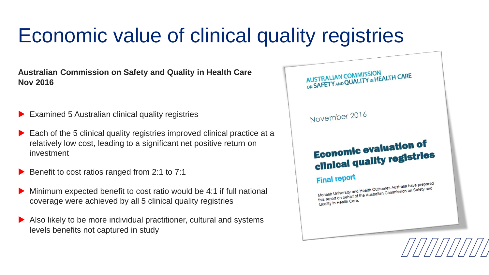## Economic value of clinical quality registries

**Australian Commission on Safety and Quality in Health Care Nov 2016**

- ▶ Examined 5 Australian clinical quality registries
- ▶ Each of the 5 clinical quality registries improved clinical practice at a relatively low cost, leading to a significant net positive return on investment
- Benefit to cost ratios ranged from 2:1 to 7:1
- Minimum expected benefit to cost ratio would be 4:1 if full national coverage were achieved by all 5 clinical quality registries
- Also likely to be more individual practitioner, cultural and systems levels benefits not captured in study

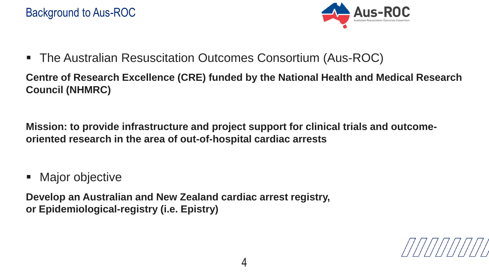

The Australian Resuscitation Outcomes Consortium (Aus-ROC)

**Centre of Research Excellence (CRE) funded by the National Health and Medical Research Council (NHMRC)**

**Mission: to provide infrastructure and project support for clinical trials and outcomeoriented research in the area of out-of-hospital cardiac arrests**

Major objective

**Develop an Australian and New Zealand cardiac arrest registry, or Epidemiological-registry (i.e. Epistry)**

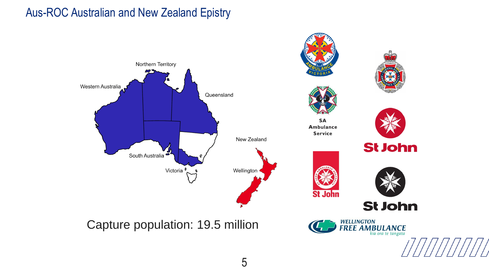### Aus-ROC Australian and New Zealand Epistry

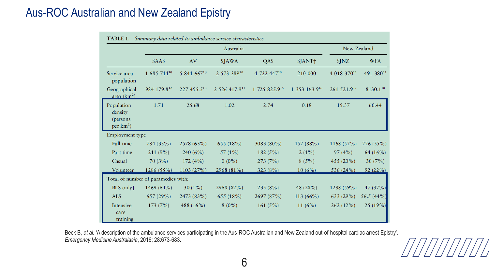### Aus-ROC Australian and New Zealand Epistry

|                                                    | Australia                           |             |               |               |               | New Zealand  |            |
|----------------------------------------------------|-------------------------------------|-------------|---------------|---------------|---------------|--------------|------------|
|                                                    | <b>SAAS</b>                         | AV          | <b>SJAWA</b>  | QAS           | SJANT+        | <b>SJNZ</b>  | <b>WFA</b> |
| Service area<br>population                         | 1 685 71410                         | 5 841 66710 | 2 573 38910   | 4 722 44710   | 210 000       | 4 018 37011  | 491 38011  |
| Geographical<br>area $(km^2)$                      | 984 179.812                         | 227 495.513 | 2 526 417.914 | 1 725 825.915 | 1 353 163.916 | 261 521.917  | 8130.118   |
| Population<br>density<br>(persons)<br>per $km^2$ ) | 1.71                                | 25.68       | 1.02          | 2.74          | 0.18          | 15.37        | 60.44      |
| Employment type                                    |                                     |             |               |               |               |              |            |
| Full time                                          | 784 (33%)                           | 2578 (63%)  | 655 (18%)     | 3083 (80%)    | 152 (88%)     | 1168 (52%)   | 226(55%)   |
| Part time                                          | 211 (9%)                            | 240 $(6%)$  | 57 $(1\%)$    | 182 (5%)      | $2(1\%)$      | 97(4%)       | 64 (16%)   |
| Casual                                             | 70(3%)                              | 172(4%)     | $0(0\%)$      | 273(7%)       | 8(5%)         | 455 $(20\%)$ | 30(7%)     |
| Volunteer                                          | 1286 (55%)                          | 1103 (27%)  | 2968 (81%)    | 323 (8%)      | 10(6%)        | 536 (24%)    | 92(22%)    |
|                                                    | Total of number of paramedics with: |             |               |               |               |              |            |
| $BLS$ -only $\ddagger$                             | 1469 (64%)                          | $30(1\%)$   | 2968 (82%)    | 235(8%)       | 48 (28%)      | 1288 (59%)   | 47 (37%)   |
| <b>ALS</b>                                         | 657(29%)                            | 2473 (83%)  | 655 (18%)     | 2697 (87%)    | 113 (66%)     | 633 (29%)    | 56.5 (44%) |
| Intensive<br>care<br>training                      | 173 (7%)                            | 488 (16%)   | $8(0\%)$      | 161(5%)       | 11 $(6%)$     | 262(12%)     | 25(19%)    |

Beck B, *et al.* 'A description of the ambulance services participating in the Aus-ROC Australian and New Zealand out-of-hospital cardiac arrest Epistry'. *Emergency Medicine Australasia*, 2016; 28:673-683.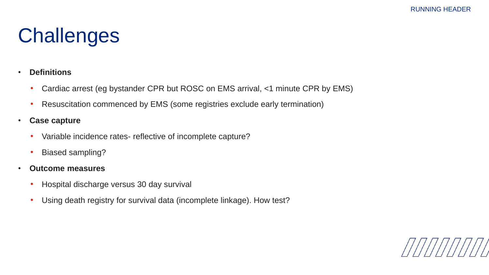## **Challenges**

#### • **Definitions**

- Cardiac arrest (eg bystander CPR but ROSC on EMS arrival, <1 minute CPR by EMS)
- Resuscitation commenced by EMS (some registries exclude early termination)
- **Case capture**
	- Variable incidence rates- reflective of incomplete capture?
	- Biased sampling?
- **Outcome measures**
	- Hospital discharge versus 30 day survival
	- Using death registry for survival data (incomplete linkage). How test?

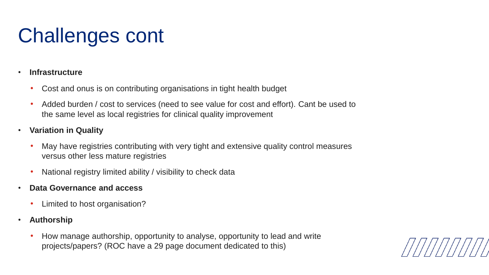## Challenges cont

#### • **Infrastructure**

- Cost and onus is on contributing organisations in tight health budget
- Added burden / cost to services (need to see value for cost and effort). Cant be used to the same level as local registries for clinical quality improvement
- **Variation in Quality**
	- May have registries contributing with very tight and extensive quality control measures versus other less mature registries
	- National registry limited ability / visibility to check data
- **Data Governance and access**
	- Limited to host organisation?
- **Authorship**
	- How manage authorship, opportunity to analyse, opportunity to lead and write projects/papers? (ROC have a 29 page document dedicated to this)

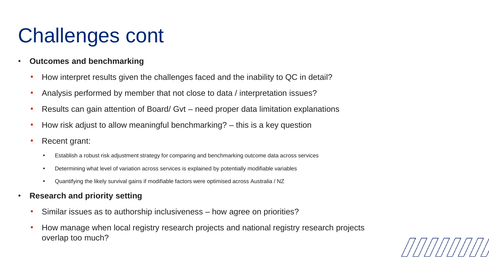## Challenges cont

- **Outcomes and benchmarking**
	- How interpret results given the challenges faced and the inability to QC in detail?
	- Analysis performed by member that not close to data / interpretation issues?
	- Results can gain attention of Board/ Gvt need proper data limitation explanations
	- How risk adjust to allow meaningful benchmarking? this is a key question
	- Recent grant:
		- Establish a robust risk adjustment strategy for comparing and benchmarking outcome data across services
		- Determining what level of variation across services is explained by potentially modifiable variables
		- Quantifying the likely survival gains if modifiable factors were optimised across Australia / NZ
- **Research and priority setting**
	- Similar issues as to authorship inclusiveness how agree on priorities?
	- How manage when local registry research projects and national registry research projects overlap too much?